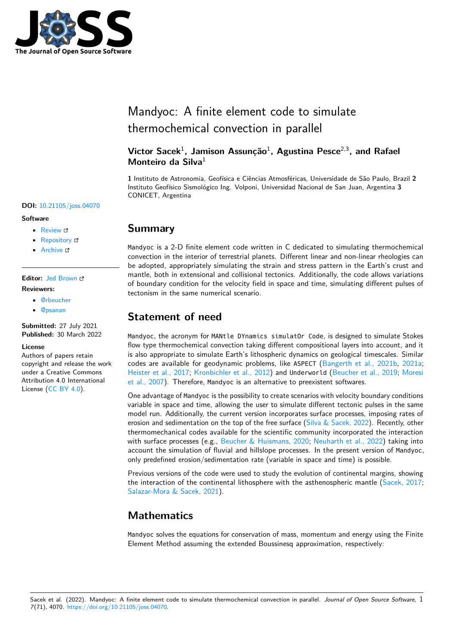

# Mandyoc: A finite element code to simulate thermochemical convection in parallel

## **Victor Sacek**<sup>1</sup> **, Jamison Assunção**<sup>1</sup> **, Agustina Pesce**2,3**, and Rafael Monteiro da Silva**<sup>1</sup>

**1** Instituto de Astronomia, Geofísica e Ciências Atmosféricas, Universidade de São Paulo, Brazil **2** Instituto Geofísico Sismológico Ing. Volponi, Universidad Nacional de San Juan, Argentina **3** CONICET, Argentina

#### **DOI:** [10.21105/joss.04070](https://doi.org/10.21105/joss.04070)

#### **Software**

- [Review](https://github.com/openjournals/joss-reviews/issues/4070) &
- [Repository](https://github.com/ggciag/mandyoc) C
- [Archive](https://doi.org/10.5281/zenodo.6390220) &

### **Editor:** [Jed Brown](https://jedbrown.org) **Reviewers:**

- [@rbeucher](https://github.com/rbeucher)
- [@psanan](https://github.com/psanan)

**Submitted:** 27 July 2021 **Published:** 30 March 2022

#### **License**

Authors of papers retain copyright and release the work under a Creative Commons Attribution 4.0 International License [\(CC BY 4.0\)](https://creativecommons.org/licenses/by/4.0/).

## **Summary**

Mandyoc is a 2-D finite element code written in C dedicated to simulating thermochemical convection in the interior of terrestrial planets. Different linear and non-linear rheologies can be adopted, appropriately simulating the strain and stress pattern in the Earth's crust and mantle, both in extensional and collisional tectonics. Additionally, the code allows variations of boundary condition for the velocity field in space and time, simulating different pulses of tectonism in the same numerical scenario.

# **Statement of need**

Mandyoc, the acronym for MANtle DYnamics simulatOr Code, is designed to simulate Stokes flow type thermochemical convection taking different compositional layers into account, and it is also appropriate to simulate Earth's lithospheric dynamics on geological timescales. Similar codes are available for geodynamic problems, like ASPECT [\(Bangerth et al., 2021b,](#page-3-0) [2021a;](#page-3-1) [Heister et al., 2017;](#page-3-2) [Kronbichler et al., 2012\)](#page-3-3) and Underworld [\(Beucher et al., 2019;](#page-3-4) [Moresi](#page-3-5) [et al., 2007\)](#page-3-5). Therefore, Mandyoc is an alternative to preexistent softwares.

One advantage of Mandyoc is the possibility to create scenarios with velocity boundary conditions variable in space and time, allowing the user to simulate different tectonic pulses in the same model run. Additionally, the current version incorporates surface processes, imposing rates of erosion and sedimentation on the top of the free surface [\(Silva & Sacek, 2022\)](#page-3-6). Recently, other thermomechanical codes available for the scientific community incorporated the interaction with surface processes (e.g., [Beucher & Huismans, 2020;](#page-3-7) [Neuharth et al., 2022\)](#page-3-8) taking into account the simulation of fluvial and hillslope processes. In the present version of Mandyoc, only predefined erosion/sedimentation rate (variable in space and time) is possible.

Previous versions of the code were used to study the evolution of continental margins, showing the interaction of the continental lithosphere with the asthenospheric mantle [\(Sacek, 2017;](#page-3-9) [Salazar-Mora & Sacek, 2021\)](#page-3-10).

# **Mathematics**

Mandyoc solves the equations for conservation of mass, momentum and energy using the Finite Element Method assuming the extended Boussinesq approximation, respectively: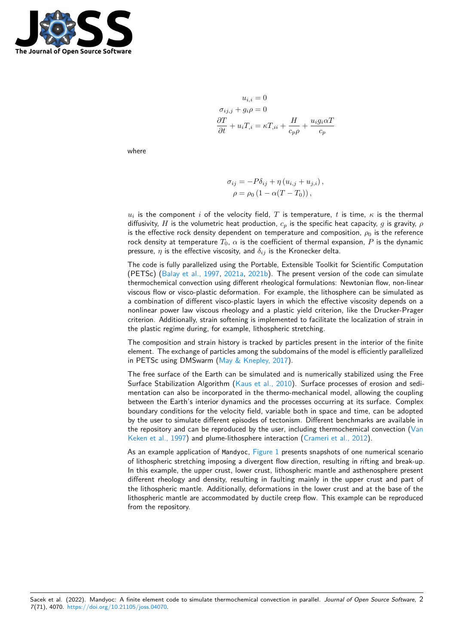

$$
u_{i,i} = 0
$$
  
\n
$$
\sigma_{ij,j} + g_i \rho = 0
$$
  
\n
$$
\frac{\partial T}{\partial t} + u_i T_{,i} = \kappa T_{,ii} + \frac{H}{c_p \rho} + \frac{u_i g_i \alpha T}{c_p}
$$

where

$$
\sigma_{ij} = -P\delta_{ij} + \eta (u_{i,j} + u_{j,i}),
$$
  

$$
\rho = \rho_0 (1 - \alpha (T - T_0)),
$$

 $u_i$  is the component  $i$  of the velocity field,  $T$  is temperature,  $t$  is time,  $\kappa$  is the thermal diffusivity, H is the volumetric heat production,  $c_p$  is the specific heat capacity, g is gravity,  $\rho$ is the effective rock density dependent on temperature and composition,  $\rho_0$  is the reference rock density at temperature  $T_0$ ,  $\alpha$  is the coefficient of thermal expansion, P is the dynamic pressure,  $\eta$  is the effective viscosity, and  $\delta_{ij}$  is the Kronecker delta.

The code is fully parallelized using the Portable, Extensible Toolkit for Scientific Computation (PETSc) [\(Balay et al., 1997,](#page-2-0) [2021a,](#page-2-1) [2021b\)](#page-2-2). The present version of the code can simulate thermochemical convection using different rheological formulations: Newtonian flow, non-linear viscous flow or visco-plastic deformation. For example, the lithosphere can be simulated as a combination of different visco-plastic layers in which the effective viscosity depends on a nonlinear power law viscous rheology and a plastic yield criterion, like the Drucker-Prager criterion. Additionally, strain softening is implemented to facilitate the localization of strain in the plastic regime during, for example, lithospheric stretching.

The composition and strain history is tracked by particles present in the interior of the finite element. The exchange of particles among the subdomains of the model is efficiently parallelized in PETSc using DMSwarm [\(May & Knepley, 2017\)](#page-3-11).

The free surface of the Earth can be simulated and is numerically stabilized using the Free Surface Stabilization Algorithm [\(Kaus et al., 2010\)](#page-3-12). Surface processes of erosion and sedimentation can also be incorporated in the thermo-mechanical model, allowing the coupling between the Earth's interior dynamics and the processes occurring at its surface. Complex boundary conditions for the velocity field, variable both in space and time, can be adopted by the user to simulate different episodes of tectonism. Different benchmarks are available in the repository and can be reproduced by the user, including thermochemical convection  $(\sqrt{an}$ [Keken et al., 1997\)](#page-4-0) and plume-lithosphere interaction [\(Crameri et al., 2012\)](#page-3-13).

As an example application of Mandyoc, [Figure 1](#page-2-3) presents snapshots of one numerical scenario of lithospheric stretching imposing a divergent flow direction, resulting in rifting and break-up. In this example, the upper crust, lower crust, lithospheric mantle and asthenosphere present different rheology and density, resulting in faulting mainly in the upper crust and part of the lithospheric mantle. Additionally, deformations in the lower crust and at the base of the lithospheric mantle are accommodated by ductile creep flow. This example can be reproduced from the repository.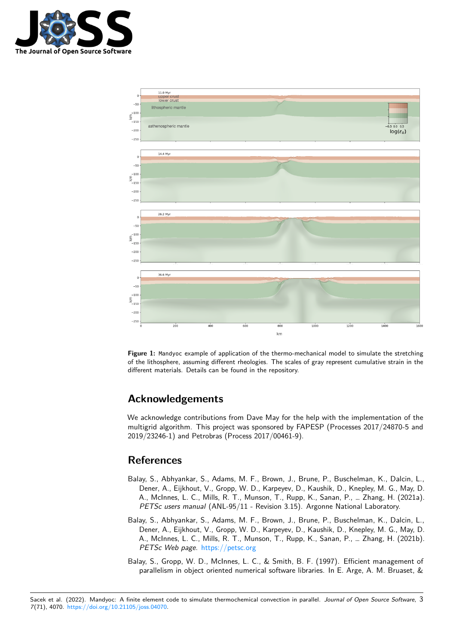

<span id="page-2-3"></span>

**Figure 1:** Mandyoc example of application of the thermo-mechanical model to simulate the stretching of the lithosphere, assuming different rheologies. The scales of gray represent cumulative strain in the different materials. Details can be found in the repository.

# **Acknowledgements**

We acknowledge contributions from Dave May for the help with the implementation of the multigrid algorithm. This project was sponsored by FAPESP (Processes 2017/24870-5 and 2019/23246-1) and Petrobras (Process 2017/00461-9).

## **References**

- <span id="page-2-1"></span>Balay, S., Abhyankar, S., Adams, M. F., Brown, J., Brune, P., Buschelman, K., Dalcin, L., Dener, A., Eijkhout, V., Gropp, W. D., Karpeyev, D., Kaushik, D., Knepley, M. G., May, D. A., McInnes, L. C., Mills, R. T., Munson, T., Rupp, K., Sanan, P., … Zhang, H. (2021a). PETSc users manual (ANL-95/11 - Revision 3.15). Argonne National Laboratory.
- <span id="page-2-2"></span>Balay, S., Abhyankar, S., Adams, M. F., Brown, J., Brune, P., Buschelman, K., Dalcin, L., Dener, A., Eijkhout, V., Gropp, W. D., Karpeyev, D., Kaushik, D., Knepley, M. G., May, D. A., McInnes, L. C., Mills, R. T., Munson, T., Rupp, K., Sanan, P., … Zhang, H. (2021b). PETSc Web page. <https://petsc.org>
- <span id="page-2-0"></span>Balay, S., Gropp, W. D., McInnes, L. C., & Smith, B. F. (1997). Efficient management of parallelism in object oriented numerical software libraries. In E. Arge, A. M. Bruaset, &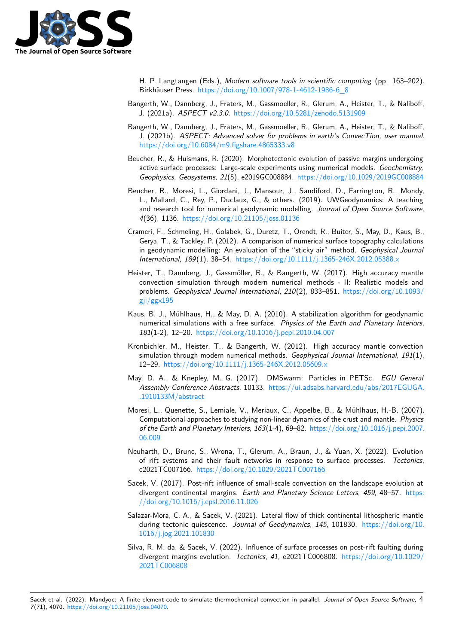

H. P. Langtangen (Eds.), Modern software tools in scientific computing (pp. 163–202). Birkhäuser Press. [https://doi.org/10.1007/978-1-4612-1986-6\\_8](https://doi.org/10.1007/978-1-4612-1986-6_8)

- <span id="page-3-1"></span>Bangerth, W., Dannberg, J., Fraters, M., Gassmoeller, R., Glerum, A., Heister, T., & Naliboff, J. (2021a). ASPECT v2.3.0. <https://doi.org/10.5281/zenodo.5131909>
- <span id="page-3-0"></span>Bangerth, W., Dannberg, J., Fraters, M., Gassmoeller, R., Glerum, A., Heister, T., & Naliboff, J. (2021b). ASPECT: Advanced solver for problems in earth's ConvecTion, user manual. <https://doi.org/10.6084/m9.figshare.4865333.v8>
- <span id="page-3-7"></span>Beucher, R., & Huismans, R. (2020). Morphotectonic evolution of passive margins undergoing active surface processes: Large-scale experiments using numerical models. Geochemistry, Geophysics, Geosystems, 21(5), e2019GC008884. <https://doi.org/10.1029/2019GC008884>
- <span id="page-3-4"></span>Beucher, R., Moresi, L., Giordani, J., Mansour, J., Sandiford, D., Farrington, R., Mondy, L., Mallard, C., Rey, P., Duclaux, G., & others. (2019). UWGeodynamics: A teaching and research tool for numerical geodynamic modelling. Journal of Open Source Software, 4(36), 1136. <https://doi.org/10.21105/joss.01136>
- <span id="page-3-13"></span>Crameri, F., Schmeling, H., Golabek, G., Duretz, T., Orendt, R., Buiter, S., May, D., Kaus, B., Gerya, T., & Tackley, P. (2012). A comparison of numerical surface topography calculations in geodynamic modelling: An evaluation of the "sticky air" method. Geophysical Journal International, 189(1), 38–54. <https://doi.org/10.1111/j.1365-246X.2012.05388.x>
- <span id="page-3-2"></span>Heister, T., Dannberg, J., Gassmöller, R., & Bangerth, W. (2017). High accuracy mantle convection simulation through modern numerical methods - II: Realistic models and problems. Geophysical Journal International, 210(2), 833–851. [https://doi.org/10.1093/](https://doi.org/10.1093/gji/ggx195) gji $/ggx195$
- <span id="page-3-12"></span>Kaus, B. J., Mühlhaus, H., & May, D. A. (2010). A stabilization algorithm for geodynamic numerical simulations with a free surface. Physics of the Earth and Planetary Interiors, 181(1-2), 12–20. <https://doi.org/10.1016/j.pepi.2010.04.007>
- <span id="page-3-3"></span>Kronbichler, M., Heister, T., & Bangerth, W. (2012). High accuracy mantle convection simulation through modern numerical methods. Geophysical Journal International, 191(1), 12–29. <https://doi.org/10.1111/j.1365-246X.2012.05609.x>
- <span id="page-3-11"></span>May, D. A., & Knepley, M. G. (2017). DMSwarm: Particles in PETSc. EGU General Assembly Conference Abstracts, 10133. [https://ui.adsabs.harvard.edu/abs/2017EGUGA.](https://ui.adsabs.harvard.edu/abs/2017EGUGA..1910133M/abstract) [.1910133M/abstract](https://ui.adsabs.harvard.edu/abs/2017EGUGA..1910133M/abstract)
- <span id="page-3-5"></span>Moresi, L., Quenette, S., Lemiale, V., Meriaux, C., Appelbe, B., & Mühlhaus, H.-B. (2007). Computational approaches to studying non-linear dynamics of the crust and mantle. Physics of the Earth and Planetary Interiors,  $163(1-4)$ , 69-82. [https://doi.org/10.1016/j.pepi.2007.](https://doi.org/10.1016/j.pepi.2007.06.009) [06.009](https://doi.org/10.1016/j.pepi.2007.06.009)
- <span id="page-3-8"></span>Neuharth, D., Brune, S., Wrona, T., Glerum, A., Braun, J., & Yuan, X. (2022). Evolution of rift systems and their fault networks in response to surface processes. Tectonics, e2021TC007166. <https://doi.org/10.1029/2021TC007166>
- <span id="page-3-9"></span>Sacek, V. (2017). Post-rift influence of small-scale convection on the landscape evolution at divergent continental margins. Earth and Planetary Science Letters, 459, 48-57. [https:](https://doi.org/10.1016/j.epsl.2016.11.026) [//doi.org/10.1016/j.epsl.2016.11.026](https://doi.org/10.1016/j.epsl.2016.11.026)
- <span id="page-3-10"></span>Salazar-Mora, C. A., & Sacek, V. (2021). Lateral flow of thick continental lithospheric mantle during tectonic quiescence. Journal of Geodynamics, 145, 101830. [https://doi.org/10.](https://doi.org/10.1016/j.jog.2021.101830) [1016/j.jog.2021.101830](https://doi.org/10.1016/j.jog.2021.101830)
- <span id="page-3-6"></span>Silva, R. M. da, & Sacek, V. (2022). Influence of surface processes on post-rift faulting during divergent margins evolution. Tectonics, 41, e2021TC006808. [https://doi.org/10.1029/](https://doi.org/10.1029/2021TC006808) [2021TC006808](https://doi.org/10.1029/2021TC006808)